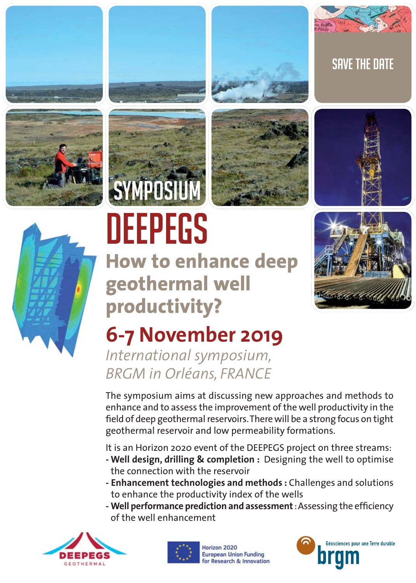







# DEEPEGS

**How to enhance deep geothermal well productivity?**



SAVE THE DATE

## **6-7 November 2019**

*International symposium, BRGM in Orléans, FRANCE* 

The symposium aims at discussing new approaches and methods to enhance and to assess the improvement of the well productivity in the field of deep geothermal reservoirs. There will be a strong focus on tight geothermal reservoir and low permeability formations.

It is an Horizon 2020 event of the DEEPEGS project on three streams:

- **Well design, drilling & completion :** Designing the well to optimise the connection with the reservoir
- **Enhancement technologies and methods :** Challenges and solutions to enhance the productivity index of the wells
- Well performance prediction and assessment : Assessing the efficiency of the well enhancement